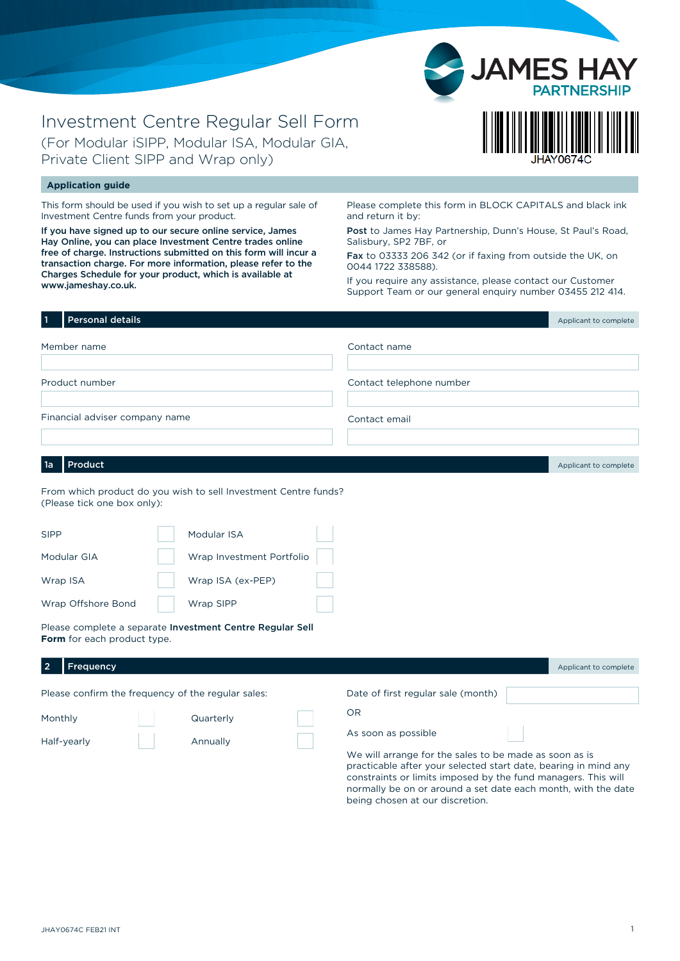

# Investment Centre Regular Sell Form (For Modular iSIPP, Modular ISA, Modular GIA, Private Client SIPP and Wrap only)

#### **Application guide**

This form should be used if you wish to set up a regular sale of Investment Centre funds from your product.

If you have signed up to our secure online service, James Hay Online, you can place Investment Centre trades online free of charge. Instructions submitted on this form will incur a transaction charge. For more information, please refer to the Charges Schedule for your product, which is available at www.jameshay.co.uk.

Please complete this form in BLOCK CAPITALS and black ink and return it by:

Post to James Hay Partnership, Dunn's House, St Paul's Road, Salisbury, SP2 7BF, or

Fax to 03333 206 342 (or if faxing from outside the UK, on 0044 1722 338588).

If you require any assistance, please contact our Customer Support Team or our general enquiry number 03455 212 414.

| <b>Personal details</b><br>  1 |                                                                 |                          | Applicant to complete |
|--------------------------------|-----------------------------------------------------------------|--------------------------|-----------------------|
| Member name                    |                                                                 | Contact name             |                       |
|                                |                                                                 |                          |                       |
| Product number                 |                                                                 | Contact telephone number |                       |
|                                |                                                                 |                          |                       |
| Financial adviser company name |                                                                 | Contact email            |                       |
|                                |                                                                 |                          |                       |
|                                |                                                                 |                          |                       |
| Product<br>1a                  |                                                                 |                          | Applicant to complete |
| (Please tick one box only):    | From which product do you wish to sell Investment Centre funds? |                          |                       |
| <b>SIPP</b>                    | Modular ISA                                                     |                          |                       |
| Modular GIA                    | Wrap Investment Portfolio                                       |                          |                       |
| Wrap ISA                       | Wrap ISA (ex-PEP)                                               |                          |                       |

Please complete a separate Investment Centre Regular Sell **Form** for each product type.

Wrap SIPP

| Frequency   |                                                    |                                                                                                                                                                                            | Applicant to complete |
|-------------|----------------------------------------------------|--------------------------------------------------------------------------------------------------------------------------------------------------------------------------------------------|-----------------------|
|             | Please confirm the frequency of the regular sales: | Date of first regular sale (month)                                                                                                                                                         |                       |
| Monthly     | Quarterly                                          | OR                                                                                                                                                                                         |                       |
| Half-yearly | Annually                                           | As soon as possible                                                                                                                                                                        |                       |
|             |                                                    | We will arrange for the sales to be made as soon as is<br>practicable after your selected start date, bearing in mind any<br>constraints or limits imposed by the fund managers. This will |                       |

constraints or limits imposed by the fund managers. This will normally be on or around a set date each month, with the date being chosen at our discretion.

Wrap Offshore Bond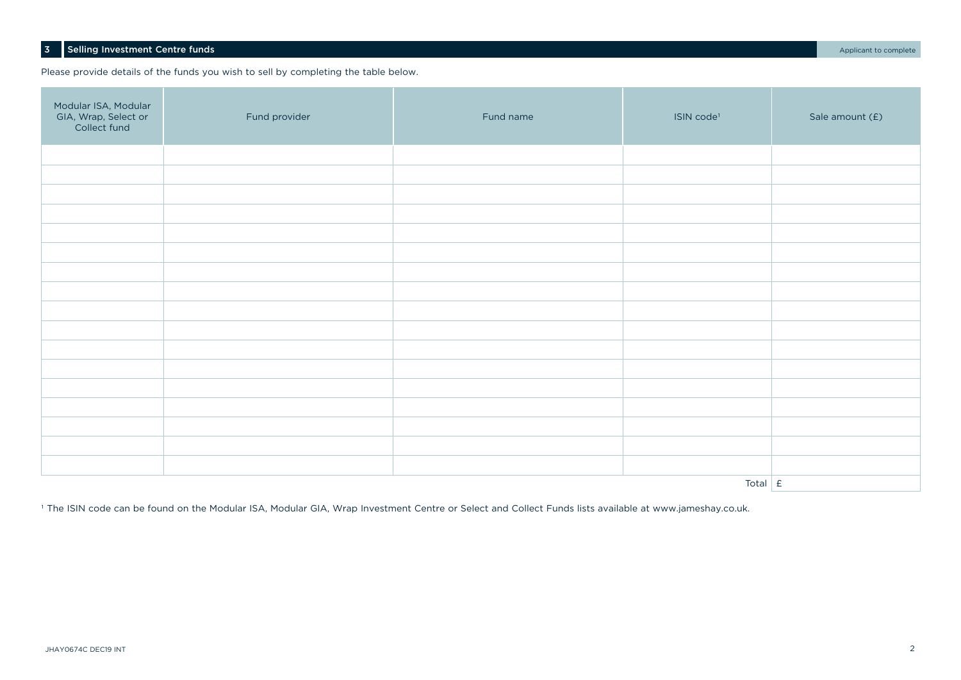## 3 Selling Investment Centre funds **Applicant to complete**

Please provide details of the funds you wish to sell by completing the table below.

| Modular ISA, Modular<br>GIA, Wrap, Select or<br>Collect fund | Fund provider | Fund name | ISIN code <sup>1</sup> | Sale amount (£) |
|--------------------------------------------------------------|---------------|-----------|------------------------|-----------------|
|                                                              |               |           |                        |                 |
|                                                              |               |           |                        |                 |
|                                                              |               |           |                        |                 |
|                                                              |               |           |                        |                 |
|                                                              |               |           |                        |                 |
|                                                              |               |           |                        |                 |
|                                                              |               |           |                        |                 |
|                                                              |               |           |                        |                 |
|                                                              |               |           |                        |                 |
|                                                              |               |           |                        |                 |
|                                                              |               |           |                        |                 |
|                                                              |               |           |                        |                 |
|                                                              |               |           |                        |                 |
|                                                              |               |           |                        |                 |
|                                                              |               |           |                        |                 |
|                                                              |               |           |                        |                 |
|                                                              |               |           |                        |                 |
| Total $\mathsf{E}$                                           |               |           |                        |                 |

<sup>1</sup> The ISIN code can be found on the Modular ISA, Modular GIA, Wrap Investment Centre or Select and Collect Funds lists available at www.jameshay.co.uk.